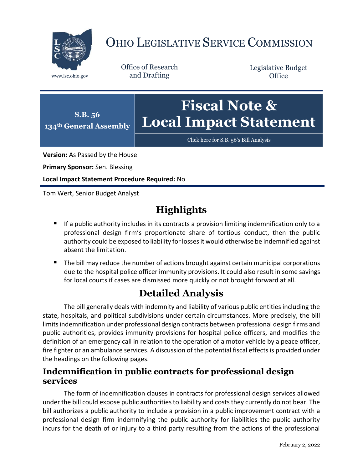

# OHIO LEGISLATIVE SERVICE COMMISSION

Office of Research www.lsc.ohio.gov and Drafting

Legislative Budget **Office** 



[Click here for S.B. 56](https://www.legislature.ohio.gov/legislation/legislation-documents?id=GA134-SB-56)'s Bill Analysis

**Version:** As Passed by the House

**Primary Sponsor:** Sen. Blessing

**Local Impact Statement Procedure Required:** No

Tom Wert, Senior Budget Analyst

## **Highlights**

- **If a public authority includes in its contracts a provision limiting indemnification only to a** professional design firm's proportionate share of tortious conduct, then the public authority could be exposed to liability for losses it would otherwise be indemnified against absent the limitation.
- The bill may reduce the number of actions brought against certain municipal corporations due to the hospital police officer immunity provisions. It could also result in some savings for local courts if cases are dismissed more quickly or not brought forward at all.

### **Detailed Analysis**

The bill generally deals with indemnity and liability of various public entities including the state, hospitals, and political subdivisions under certain circumstances. More precisely, the bill limits indemnification under professional design contracts between professional design firms and public authorities, provides immunity provisions for hospital police officers, and modifies the definition of an emergency call in relation to the operation of a motor vehicle by a peace officer, fire fighter or an ambulance services. A discussion of the potential fiscal effects is provided under the headings on the following pages.

#### **Indemnification in public contracts for professional design services**

The form of indemnification clauses in contracts for professional design services allowed under the bill could expose public authorities to liability and costs they currently do not bear. The bill authorizes a public authority to include a provision in a public improvement contract with a professional design firm indemnifying the public authority for liabilities the public authority incurs for the death of or injury to a third party resulting from the actions of the professional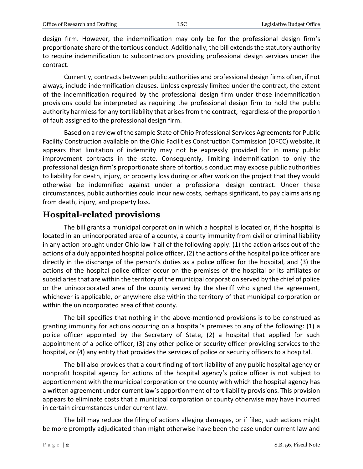design firm. However, the indemnification may only be for the professional design firm's proportionate share of the tortious conduct. Additionally, the bill extends the statutory authority to require indemnification to subcontractors providing professional design services under the contract.

Currently, contracts between public authorities and professional design firms often, if not always, include indemnification clauses. Unless expressly limited under the contract, the extent of the indemnification required by the professional design firm under those indemnification provisions could be interpreted as requiring the professional design firm to hold the public authority harmless for any tort liability that arises from the contract, regardless of the proportion of fault assigned to the professional design firm.

Based on a review of the sample State of Ohio Professional Services Agreements for Public Facility Construction available on the Ohio Facilities Construction Commission (OFCC) website, it appears that limitation of indemnity may not be expressly provided for in many public improvement contracts in the state. Consequently, limiting indemnification to only the professional design firm's proportionate share of tortious conduct may expose public authorities to liability for death, injury, or property loss during or after work on the project that they would otherwise be indemnified against under a professional design contract. Under these circumstances, public authorities could incur new costs, perhaps significant, to pay claims arising from death, injury, and property loss.

#### **Hospital-related provisions**

The bill grants a municipal corporation in which a hospital is located or, if the hospital is located in an unincorporated area of a county, a county immunity from civil or criminal liability in any action brought under Ohio law if all of the following apply: (1) the action arises out of the actions of a duly appointed hospital police officer, (2) the actions of the hospital police officer are directly in the discharge of the person's duties as a police officer for the hospital, and (3) the actions of the hospital police officer occur on the premises of the hospital or its affiliates or subsidiaries that are within the territory of the municipal corporation served by the chief of police or the unincorporated area of the county served by the sheriff who signed the agreement, whichever is applicable, or anywhere else within the territory of that municipal corporation or within the unincorporated area of that county.

The bill specifies that nothing in the above-mentioned provisions is to be construed as granting immunity for actions occurring on a hospital's premises to any of the following: (1) a police officer appointed by the Secretary of State, (2) a hospital that applied for such appointment of a police officer, (3) any other police or security officer providing services to the hospital, or (4) any entity that provides the services of police or security officers to a hospital.

The bill also provides that a court finding of tort liability of any public hospital agency or nonprofit hospital agency for actions of the hospital agency's police officer is not subject to apportionment with the municipal corporation or the county with which the hospital agency has a written agreement under current law's apportionment of tort liability provisions. This provision appears to eliminate costs that a municipal corporation or county otherwise may have incurred in certain circumstances under current law.

The bill may reduce the filing of actions alleging damages, or if filed, such actions might be more promptly adjudicated than might otherwise have been the case under current law and